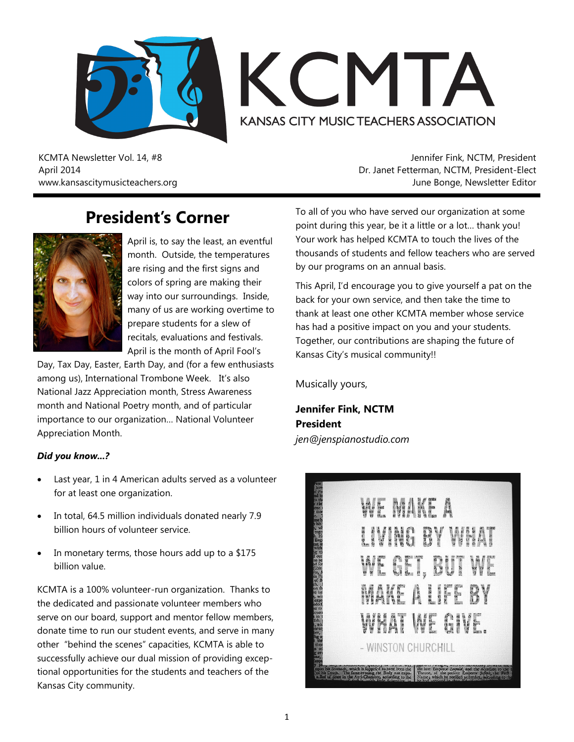



KCMTA Newsletter Vol. 14, #8 April 2014 www.kansascitymusicteachers.org

Jennifer Fink, NCTM, President Dr. Janet Fetterman, NCTM, President-Elect June Bonge, Newsletter Editor

### **President's Corner**



April is, to say the least, an eventful month. Outside, the temperatures are rising and the first signs and colors of spring are making their way into our surroundings. Inside, many of us are working overtime to prepare students for a slew of recitals, evaluations and festivals. April is the month of April Fool's

Day, Tax Day, Easter, Earth Day, and (for a few enthusiasts among us), International Trombone Week. It's also National Jazz Appreciation month, Stress Awareness month and National Poetry month, and of particular importance to our organization… National Volunteer Appreciation Month.

#### *Did you know...?*

- Last year, 1 in 4 American adults served as a volunteer for at least one organization.
- In total, 64.5 million individuals donated nearly 7.9 billion hours of volunteer service.
- In monetary terms, those hours add up to a \$175 billion value.

KCMTA is a 100% volunteer-run organization. Thanks to the dedicated and passionate volunteer members who serve on our board, support and mentor fellow members, donate time to run our student events, and serve in many other "behind the scenes" capacities, KCMTA is able to successfully achieve our dual mission of providing exceptional opportunities for the students and teachers of the Kansas City community.

To all of you who have served our organization at some point during this year, be it a little or a lot… thank you! Your work has helped KCMTA to touch the lives of the thousands of students and fellow teachers who are served by our programs on an annual basis.

This April, I'd encourage you to give yourself a pat on the back for your own service, and then take the time to thank at least one other KCMTA member whose service has had a positive impact on you and your students. Together, our contributions are shaping the future of Kansas City's musical community!!

Musically yours,

**Jennifer Fink, NCTM President** *jen@jenspianostudio.com*

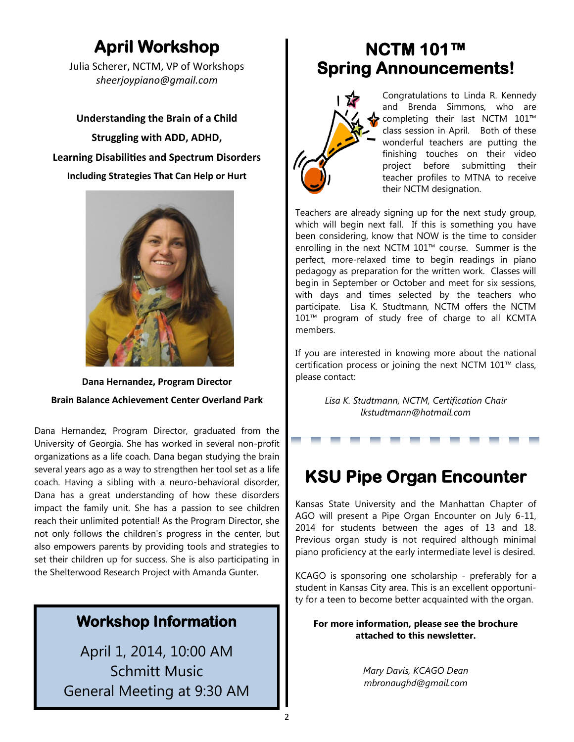## **April Workshop**

Julia Scherer, NCTM, VP of Workshops *sheerjoypiano@gmail.com*

**Understanding the Brain of a Child Struggling with ADD, ADHD, Learning Disabilities and Spectrum Disorders Including Strategies That Can Help or Hurt**



**Dana Hernandez, Program Director Brain Balance Achievement Center Overland Park**

Dana Hernandez, Program Director, graduated from the University of Georgia. She has worked in several non-profit organizations as a life coach. Dana began studying the brain several years ago as a way to strengthen her tool set as a life coach. Having a sibling with a neuro-behavioral disorder, Dana has a great understanding of how these disorders impact the family unit. She has a passion to see children reach their unlimited potential! As the Program Director, she not only follows the children's progress in the center, but also empowers parents by providing tools and strategies to set their children up for success. She is also participating in the Shelterwood Research Project with Amanda Gunter.

### **Workshop Information**

April 1, 2014, 10:00 AM Schmitt Music General Meeting at 9:30 AM

### **NCTM 101™ Spring Announcements!**



Congratulations to Linda R. Kennedy and Brenda Simmons, who are completing their last NCTM 101™ class session in April. Both of these wonderful teachers are putting the finishing touches on their video project before submitting their teacher profiles to MTNA to receive their NCTM designation.

Teachers are already signing up for the next study group, which will begin next fall. If this is something you have been considering, know that NOW is the time to consider enrolling in the next NCTM 101™ course. Summer is the perfect, more-relaxed time to begin readings in piano pedagogy as preparation for the written work. Classes will begin in September or October and meet for six sessions, with days and times selected by the teachers who participate. Lisa K. Studtmann, NCTM offers the NCTM 101™ program of study free of charge to all KCMTA members.

If you are interested in knowing more about the national certification process or joining the next NCTM 101™ class, please contact:

> *Lisa K. Studtmann, NCTM, Certification Chair lkstudtmann@hotmail.com*

## **KSU Pipe Organ Encounter**

Kansas State University and the Manhattan Chapter of AGO will present a Pipe Organ Encounter on July 6-11, 2014 for students between the ages of 13 and 18. Previous organ study is not required although minimal piano proficiency at the early intermediate level is desired.

KCAGO is sponsoring one scholarship - preferably for a student in Kansas City area. This is an excellent opportunity for a teen to become better acquainted with the organ.

**For more information, please see the brochure attached to this newsletter.**

> *Mary Davis, KCAGO Dean mbronaughd@gmail.com*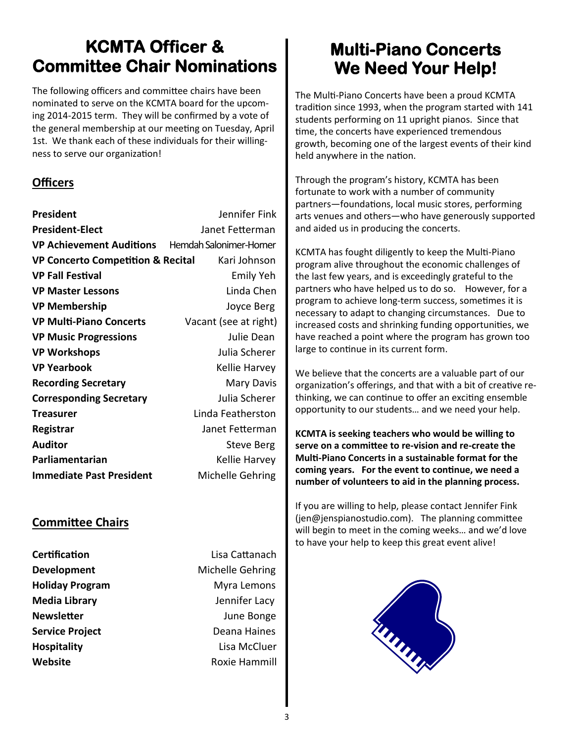## **KCMTA Officer & Committee Chair Nominations**

The following officers and committee chairs have been nominated to serve on the KCMTA board for the upcoming 2014-2015 term. They will be confirmed by a vote of the general membership at our meeting on Tuesday, April 1st. We thank each of these individuals for their willingness to serve our organization!

#### **Officers**

| President                                        | Jennifer Fink         |
|--------------------------------------------------|-----------------------|
| <b>President-Elect</b>                           | Janet Fetterman       |
| VP Achievement Auditions Hemdah Salonimer-Horner |                       |
| <b>VP Concerto Competition &amp; Recital</b>     | Kari Johnson          |
| <b>VP Fall Festival</b>                          | Emily Yeh             |
| <b>VP Master Lessons</b>                         | Linda Chen            |
| <b>VP Membership</b>                             | Joyce Berg            |
| <b>VP Multi-Piano Concerts</b>                   | Vacant (see at right) |
| <b>VP Music Progressions</b>                     | Julie Dean            |
| <b>VP Workshops</b>                              | Julia Scherer         |
| <b>VP Yearbook</b>                               | Kellie Harvey         |
| <b>Recording Secretary</b>                       | <b>Mary Davis</b>     |
| <b>Corresponding Secretary</b>                   | Julia Scherer         |
| <b>Treasurer</b>                                 | Linda Featherston     |
| Registrar                                        | Janet Fetterman       |
| <b>Auditor</b>                                   | Steve Berg            |
| Parliamentarian                                  | Kellie Harvey         |
| <b>Immediate Past President</b>                  | Michelle Gehring      |
|                                                  |                       |

### **Committee Chairs**

**Certification Certification Lisa Cattanach** 

**Development** Michelle Gehring **Holiday Program** Myra Lemons **Media Library**  Jennifer Lacy **Newsletter Constanting Server Server Server Server Server Server Server Server Server Server Server Server Server Server Server Server Server Server Server Server Server Server Server Server Server Server Server Server Service Project Deana Haines Hospitality** Lisa McCluer **Website Roxie Hammill** 

## **Multi-Piano Concerts We Need Your Help!**

The Multi-Piano Concerts have been a proud KCMTA tradition since 1993, when the program started with 141 students performing on 11 upright pianos. Since that time, the concerts have experienced tremendous growth, becoming one of the largest events of their kind held anywhere in the nation.

Through the program's history, KCMTA has been fortunate to work with a number of community partners—foundations, local music stores, performing arts venues and others—who have generously supported and aided us in producing the concerts.

KCMTA has fought diligently to keep the Multi-Piano program alive throughout the economic challenges of the last few years, and is exceedingly grateful to the partners who have helped us to do so. However, for a program to achieve long-term success, sometimes it is necessary to adapt to changing circumstances. Due to increased costs and shrinking funding opportunities, we have reached a point where the program has grown too large to continue in its current form.

We believe that the concerts are a valuable part of our organization's offerings, and that with a bit of creative rethinking, we can continue to offer an exciting ensemble opportunity to our students… and we need your help.

**KCMTA is seeking teachers who would be willing to serve on a committee to re-vision and re-create the Multi-Piano Concerts in a sustainable format for the coming years. For the event to continue, we need a number of volunteers to aid in the planning process.** 

If you are willing to help, please contact Jennifer Fink (jen@jenspianostudio.com). The planning committee will begin to meet in the coming weeks… and we'd love to have your help to keep this great event alive!